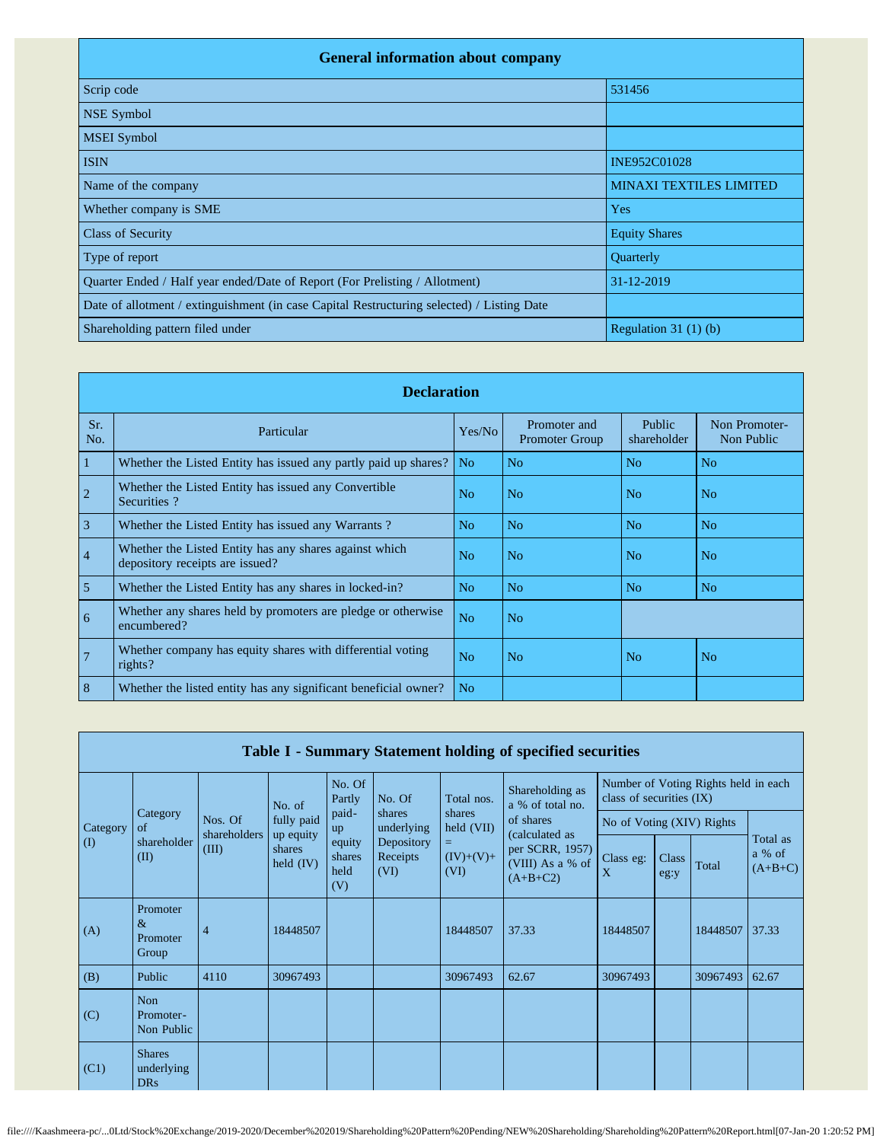| <b>General information about company</b>                                                   |                                |  |  |  |  |  |  |  |
|--------------------------------------------------------------------------------------------|--------------------------------|--|--|--|--|--|--|--|
| Scrip code                                                                                 | 531456                         |  |  |  |  |  |  |  |
| <b>NSE Symbol</b>                                                                          |                                |  |  |  |  |  |  |  |
| <b>MSEI</b> Symbol                                                                         |                                |  |  |  |  |  |  |  |
| <b>ISIN</b>                                                                                | INE952C01028                   |  |  |  |  |  |  |  |
| Name of the company                                                                        | <b>MINAXI TEXTILES LIMITED</b> |  |  |  |  |  |  |  |
| Whether company is SME                                                                     | <b>Yes</b>                     |  |  |  |  |  |  |  |
| <b>Class of Security</b>                                                                   | <b>Equity Shares</b>           |  |  |  |  |  |  |  |
| Type of report                                                                             | Quarterly                      |  |  |  |  |  |  |  |
| Quarter Ended / Half year ended/Date of Report (For Prelisting / Allotment)                | 31-12-2019                     |  |  |  |  |  |  |  |
| Date of allotment / extinguishment (in case Capital Restructuring selected) / Listing Date |                                |  |  |  |  |  |  |  |
| Shareholding pattern filed under                                                           | Regulation $31(1)(b)$          |  |  |  |  |  |  |  |

|                | <b>Declaration</b>                                                                        |                |                                       |                       |                             |  |  |  |  |  |  |  |
|----------------|-------------------------------------------------------------------------------------------|----------------|---------------------------------------|-----------------------|-----------------------------|--|--|--|--|--|--|--|
| Sr.<br>No.     | Particular                                                                                | Yes/No         | Promoter and<br><b>Promoter Group</b> | Public<br>shareholder | Non Promoter-<br>Non Public |  |  |  |  |  |  |  |
| 1              | Whether the Listed Entity has issued any partly paid up shares?                           | No.            | N <sub>o</sub>                        | N <sub>o</sub>        | N <sub>o</sub>              |  |  |  |  |  |  |  |
| $\overline{2}$ | Whether the Listed Entity has issued any Convertible<br>Securities?                       | N <sub>o</sub> | N <sub>o</sub>                        | N <sub>0</sub>        | N <sub>o</sub>              |  |  |  |  |  |  |  |
| $\overline{3}$ | Whether the Listed Entity has issued any Warrants?                                        | N <sub>o</sub> | N <sub>o</sub>                        | N <sub>o</sub>        | N <sub>o</sub>              |  |  |  |  |  |  |  |
| $\overline{4}$ | Whether the Listed Entity has any shares against which<br>depository receipts are issued? | No             | No                                    | N <sub>0</sub>        | No                          |  |  |  |  |  |  |  |
| 5              | Whether the Listed Entity has any shares in locked-in?                                    | No             | No                                    | No                    | N <sub>0</sub>              |  |  |  |  |  |  |  |
| 6              | Whether any shares held by promoters are pledge or otherwise<br>encumbered?               | N <sub>o</sub> | N <sub>o</sub>                        |                       |                             |  |  |  |  |  |  |  |
| $\overline{7}$ | Whether company has equity shares with differential voting<br>rights?                     | N <sub>o</sub> | No                                    | N <sub>o</sub>        | N <sub>o</sub>              |  |  |  |  |  |  |  |
| 8              | Whether the listed entity has any significant beneficial owner?                           | N <sub>o</sub> |                                       |                       |                             |  |  |  |  |  |  |  |

|          | Table I - Summary Statement holding of specified securities |                         |                                    |                                 |                                |                           |                                                                     |                            |                                            |                                      |                                 |  |  |
|----------|-------------------------------------------------------------|-------------------------|------------------------------------|---------------------------------|--------------------------------|---------------------------|---------------------------------------------------------------------|----------------------------|--------------------------------------------|--------------------------------------|---------------------------------|--|--|
|          |                                                             |                         | No. of                             | No. Of<br>Partly                | No. Of                         | Total nos.                | Shareholding as<br>a % of total no.                                 | class of securities $(IX)$ |                                            | Number of Voting Rights held in each |                                 |  |  |
| Category | Category<br>of                                              | Nos. Of<br>shareholders | fully paid                         | paid-<br>up                     | shares<br>underlying           | held (VII)                | shares<br>of shares                                                 |                            |                                            |                                      |                                 |  |  |
| $\rm(D)$ | shareholder<br>(II)                                         | (III)                   | up equity<br>shares<br>held $(IV)$ | equity<br>shares<br>held<br>(V) | Depository<br>Receipts<br>(VI) | Ξ.<br>$(IV)+(V)+$<br>(VI) | (calculated as<br>per SCRR, 1957)<br>(VIII) As a % of<br>$(A+B+C2)$ | Class eg:<br>X             | No of Voting (XIV) Rights<br>Class<br>eg:y | Total                                | Total as<br>a % of<br>$(A+B+C)$ |  |  |
| (A)      | Promoter<br>$\&$<br>Promoter<br>Group                       | $\overline{4}$          | 18448507                           |                                 |                                | 18448507                  | 37.33                                                               | 18448507                   |                                            | 18448507                             | 37.33                           |  |  |
| (B)      | Public                                                      | 4110                    | 30967493                           |                                 |                                | 30967493                  | 62.67                                                               | 30967493                   |                                            | 30967493                             | 62.67                           |  |  |
| (C)      | Non<br>Promoter-<br>Non Public                              |                         |                                    |                                 |                                |                           |                                                                     |                            |                                            |                                      |                                 |  |  |
| (C1)     | <b>Shares</b><br>underlying<br><b>DRs</b>                   |                         |                                    |                                 |                                |                           |                                                                     |                            |                                            |                                      |                                 |  |  |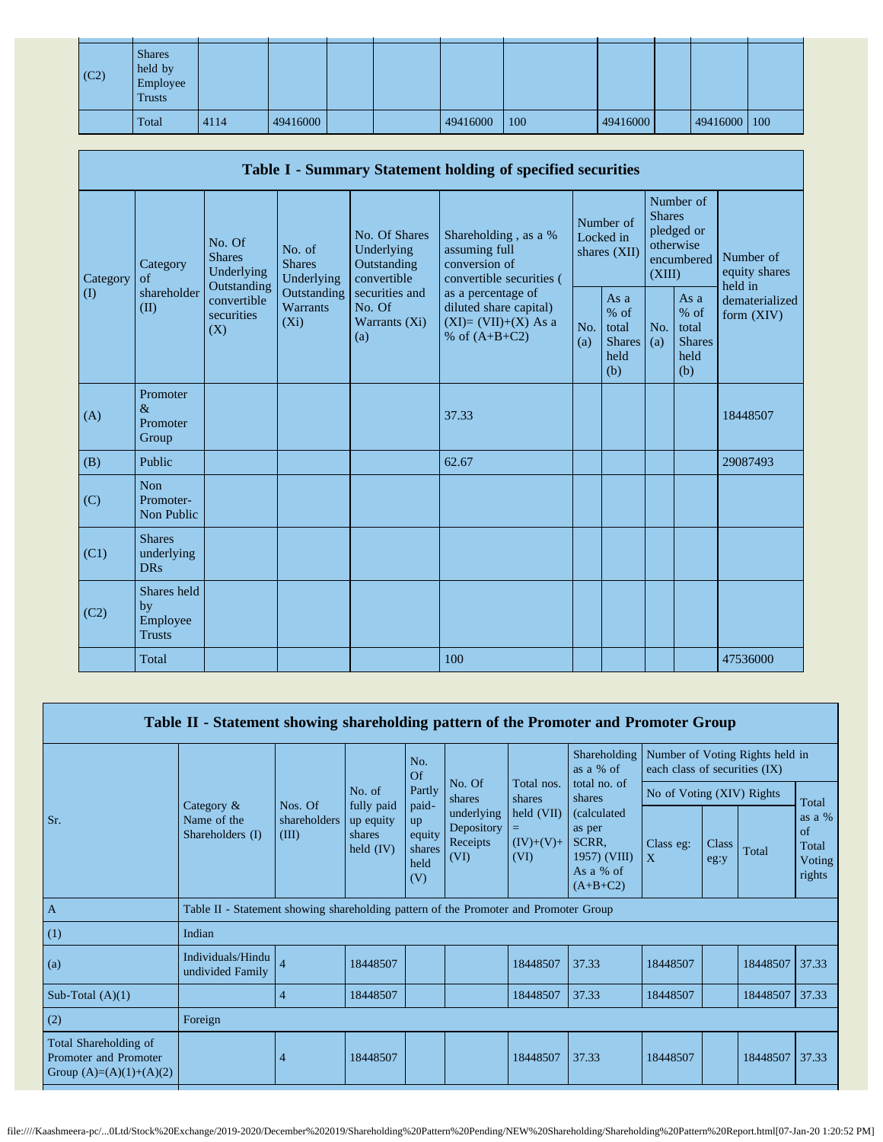| (C2) | <b>Shares</b><br>held by<br>Employee<br><b>Trusts</b> |      |          |  |          |     |          |              |  |
|------|-------------------------------------------------------|------|----------|--|----------|-----|----------|--------------|--|
|      | Total                                                 | 4114 | 49416000 |  | 49416000 | 100 | 49416000 | 49416000 100 |  |

|                   | Table I - Summary Statement holding of specified securities            |                                       |                                                  |                                                                                          |                                                                                    |                                                           |                                          |                                                         |                                                    |                                       |  |  |  |  |
|-------------------|------------------------------------------------------------------------|---------------------------------------|--------------------------------------------------|------------------------------------------------------------------------------------------|------------------------------------------------------------------------------------|-----------------------------------------------------------|------------------------------------------|---------------------------------------------------------|----------------------------------------------------|---------------------------------------|--|--|--|--|
| Category          | Category<br>$\alpha$ f                                                 | No. Of<br><b>Shares</b><br>Underlying | No. of<br><b>Shares</b><br>Underlying            | No. Of Shares<br>Underlying<br>Outstanding<br>convertible                                | Shareholding, as a %<br>assuming full<br>conversion of<br>convertible securities ( |                                                           | Number of<br>Locked in<br>shares $(XII)$ | <b>Shares</b><br>(XIII)                                 | Number of<br>pledged or<br>otherwise<br>encumbered | Number of<br>equity shares<br>held in |  |  |  |  |
| $\textcircled{1}$ | Outstanding<br>shareholder<br>convertible<br>(II)<br>securities<br>(X) | Outstanding<br>Warrants<br>$(X_i)$    | securities and<br>No. Of<br>Warrants (Xi)<br>(a) | as a percentage of<br>diluted share capital)<br>$(XI)=(VII)+(X)$ As a<br>% of $(A+B+C2)$ | No.<br>(a)                                                                         | As $a$<br>$%$ of<br>total<br><b>Shares</b><br>held<br>(b) | No.<br>(a)                               | As a<br>$%$ of<br>total<br><b>Shares</b><br>held<br>(b) | dematerialized<br>form (XIV)                       |                                       |  |  |  |  |
| (A)               | Promoter<br>$\&$<br>Promoter<br>Group                                  |                                       |                                                  |                                                                                          | 37.33                                                                              |                                                           |                                          |                                                         |                                                    | 18448507                              |  |  |  |  |
| (B)               | Public                                                                 |                                       |                                                  |                                                                                          | 62.67                                                                              |                                                           |                                          |                                                         |                                                    | 29087493                              |  |  |  |  |
| (C)               | <b>Non</b><br>Promoter-<br>Non Public                                  |                                       |                                                  |                                                                                          |                                                                                    |                                                           |                                          |                                                         |                                                    |                                       |  |  |  |  |
| (C1)              | <b>Shares</b><br>underlying<br><b>DRs</b>                              |                                       |                                                  |                                                                                          |                                                                                    |                                                           |                                          |                                                         |                                                    |                                       |  |  |  |  |
| (C2)              | Shares held<br>by<br>Employee<br><b>Trusts</b>                         |                                       |                                                  |                                                                                          |                                                                                    |                                                           |                                          |                                                         |                                                    |                                       |  |  |  |  |
|                   | Total                                                                  |                                       |                                                  |                                                                                          | 100                                                                                |                                                           |                                          |                                                         |                                                    | 47536000                              |  |  |  |  |

| Table II - Statement showing shareholding pattern of the Promoter and Promoter Group |                                                                                      |                       |                                    |                                              |                                              |                                                   |                                                                                   |                                                                  |                      |          |                                                   |  |
|--------------------------------------------------------------------------------------|--------------------------------------------------------------------------------------|-----------------------|------------------------------------|----------------------------------------------|----------------------------------------------|---------------------------------------------------|-----------------------------------------------------------------------------------|------------------------------------------------------------------|----------------------|----------|---------------------------------------------------|--|
|                                                                                      |                                                                                      |                       |                                    | No.<br>$\Omega$                              |                                              |                                                   | <b>Shareholding</b><br>as a % of                                                  | Number of Voting Rights held in<br>each class of securities (IX) |                      |          |                                                   |  |
|                                                                                      | Category $\&$                                                                        | Nos. Of               | No. of<br>fully paid               | Partly<br>paid-                              | No. Of<br>shares                             | Total nos.<br>shares                              | total no. of<br>shares                                                            | No of Voting (XIV) Rights                                        |                      |          | Total                                             |  |
| Sr.                                                                                  | Name of the<br>Shareholders (I)                                                      | shareholders<br>(III) | up equity<br>shares<br>held $(IV)$ | <b>up</b><br>equity<br>shares<br>held<br>(V) | underlying<br>Depository<br>Receipts<br>(VI) | $\text{held (VII)}$<br>$=$<br>$(IV)+(V)+$<br>(VI) | <i>(calculated)</i><br>as per<br>SCRR,<br>1957) (VIII)<br>As a % of<br>$(A+B+C2)$ | Class eg:<br>$\mathbf{X}$                                        | <b>Class</b><br>eg:y | Total    | as a $%$<br>$\alpha$<br>Total<br>Voting<br>rights |  |
| $\mathbf{A}$                                                                         | Table II - Statement showing shareholding pattern of the Promoter and Promoter Group |                       |                                    |                                              |                                              |                                                   |                                                                                   |                                                                  |                      |          |                                                   |  |
| (1)                                                                                  | Indian                                                                               |                       |                                    |                                              |                                              |                                                   |                                                                                   |                                                                  |                      |          |                                                   |  |
| (a)                                                                                  | Individuals/Hindu<br>undivided Family                                                | $\overline{4}$        | 18448507                           |                                              |                                              | 18448507                                          | 37.33                                                                             | 18448507                                                         |                      | 18448507 | 37.33                                             |  |
| Sub-Total $(A)(1)$                                                                   |                                                                                      | $\overline{4}$        | 18448507                           |                                              |                                              | 18448507                                          | 37.33                                                                             | 18448507                                                         |                      | 18448507 | 37.33                                             |  |
| (2)                                                                                  | Foreign                                                                              |                       |                                    |                                              |                                              |                                                   |                                                                                   |                                                                  |                      |          |                                                   |  |
| Total Shareholding of<br>Promoter and Promoter<br>Group $(A)=(A)(1)+(A)(2)$          |                                                                                      | 4                     | 18448507                           |                                              |                                              | 18448507                                          | 37.33                                                                             | 18448507                                                         |                      | 18448507 | 37.33                                             |  |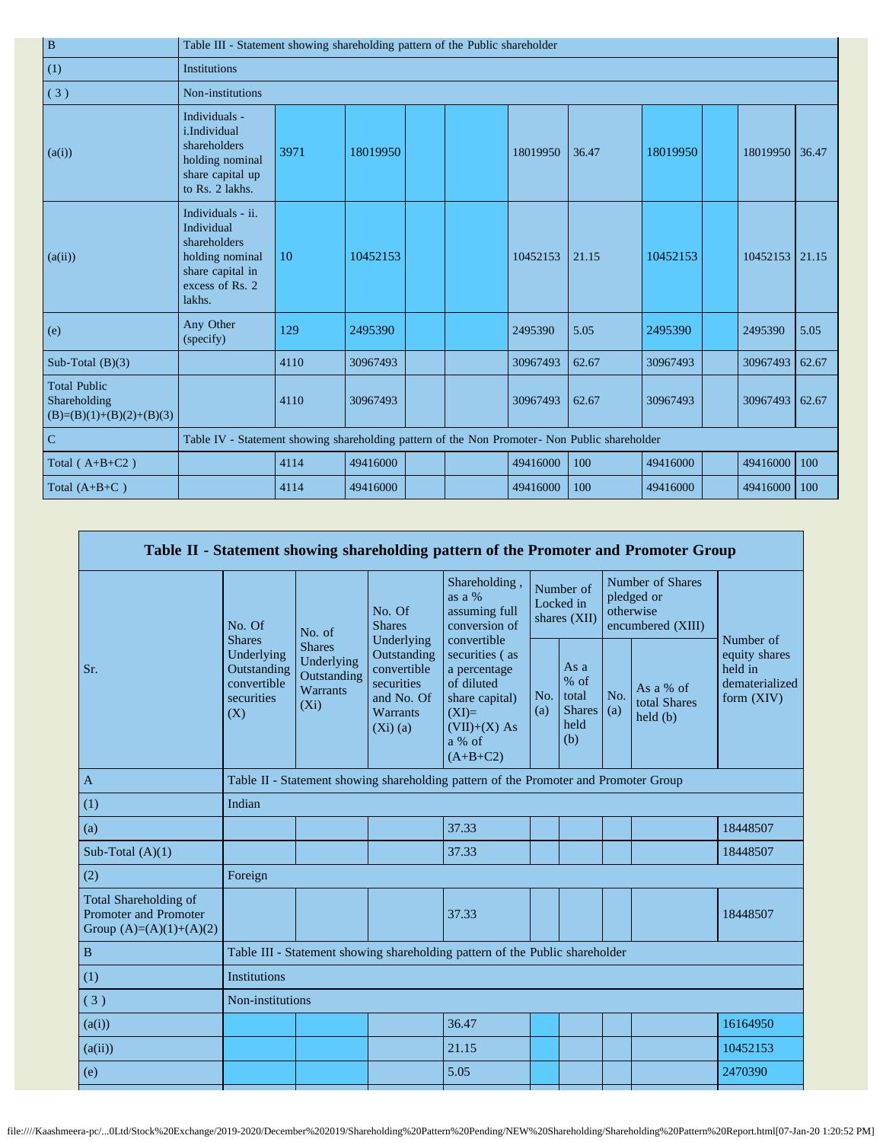| $\, {\bf B}$                                                      | Table III - Statement showing shareholding pattern of the Public shareholder                                        |                                                                    |          |  |  |          |       |          |  |                |       |  |
|-------------------------------------------------------------------|---------------------------------------------------------------------------------------------------------------------|--------------------------------------------------------------------|----------|--|--|----------|-------|----------|--|----------------|-------|--|
| (1)                                                               | <b>Institutions</b>                                                                                                 |                                                                    |          |  |  |          |       |          |  |                |       |  |
| (3)                                                               | Non-institutions                                                                                                    |                                                                    |          |  |  |          |       |          |  |                |       |  |
| (a(i))                                                            | Individuals -<br><i>i</i> .Individual<br>shareholders<br>holding nominal<br>share capital up<br>to Rs. 2 lakhs.     | 3971                                                               | 18019950 |  |  | 18019950 | 36.47 | 18019950 |  | 18019950       | 36.47 |  |
| (a(ii))                                                           | Individuals - ii.<br>Individual<br>shareholders<br>holding nominal<br>share capital in<br>excess of Rs. 2<br>lakhs. | 10                                                                 | 10452153 |  |  | 10452153 | 21.15 | 10452153 |  | 10452153 21.15 |       |  |
| (e)                                                               | Any Other<br>(specify)                                                                                              | 129                                                                | 2495390  |  |  | 2495390  | 5.05  | 2495390  |  | 2495390        | 5.05  |  |
| Sub-Total $(B)(3)$                                                |                                                                                                                     | 4110                                                               | 30967493 |  |  | 30967493 | 62.67 | 30967493 |  | 30967493       | 62.67 |  |
| <b>Total Public</b><br>Shareholding<br>$(B)=(B)(1)+(B)(2)+(B)(3)$ |                                                                                                                     | 4110                                                               | 30967493 |  |  | 30967493 | 62.67 | 30967493 |  | 30967493       | 62.67 |  |
| $\overline{C}$                                                    | Table IV - Statement showing shareholding pattern of the Non Promoter- Non Public shareholder                       |                                                                    |          |  |  |          |       |          |  |                |       |  |
| Total $(A+B+C2)$                                                  |                                                                                                                     | 4114<br>100<br>49416000<br>49416000<br>100<br>49416000<br>49416000 |          |  |  |          |       |          |  |                |       |  |
| Total $(A+B+C)$                                                   |                                                                                                                     | 4114                                                               | 49416000 |  |  | 49416000 | 100   | 49416000 |  | 49416000       | 100   |  |

|                                                                                    |                                                               |                                                                   |                                                                                                       | Table II - Statement showing shareholding pattern of the Promoter and Promoter Group                                |            |                                                       |            |                                                                  |                                                          |
|------------------------------------------------------------------------------------|---------------------------------------------------------------|-------------------------------------------------------------------|-------------------------------------------------------------------------------------------------------|---------------------------------------------------------------------------------------------------------------------|------------|-------------------------------------------------------|------------|------------------------------------------------------------------|----------------------------------------------------------|
|                                                                                    | No. Of<br><b>Shares</b>                                       | No. of                                                            | No. Of<br><b>Shares</b>                                                                               | Shareholding,<br>as a %<br>assuming full<br>conversion of<br>convertible                                            |            | Number of<br>Locked in<br>shares (XII)                |            | Number of Shares<br>pledged or<br>otherwise<br>encumbered (XIII) | Number of                                                |
| Sr.                                                                                | Underlying<br>Outstanding<br>convertible<br>securities<br>(X) | <b>Shares</b><br>Underlying<br>Outstanding<br>Warrants<br>$(X_i)$ | Underlying<br>Outstanding<br>convertible<br>securities<br>and No. Of<br><b>Warrants</b><br>$(Xi)$ (a) | securities (as<br>a percentage<br>of diluted<br>share capital)<br>$(XI)=$<br>$(VII)+(X)$ As<br>a % of<br>$(A+B+C2)$ | No.<br>(a) | As a<br>% of<br>total<br><b>Shares</b><br>held<br>(b) | No.<br>(a) | As a % of<br>total Shares<br>held(b)                             | equity shares<br>held in<br>dematerialized<br>form (XIV) |
| $\mathbf{A}$                                                                       |                                                               |                                                                   |                                                                                                       | Table II - Statement showing shareholding pattern of the Promoter and Promoter Group                                |            |                                                       |            |                                                                  |                                                          |
| (1)                                                                                | Indian                                                        |                                                                   |                                                                                                       |                                                                                                                     |            |                                                       |            |                                                                  |                                                          |
| (a)                                                                                |                                                               |                                                                   |                                                                                                       | 37.33                                                                                                               |            |                                                       |            |                                                                  | 18448507                                                 |
| Sub-Total $(A)(1)$                                                                 |                                                               |                                                                   |                                                                                                       | 37.33                                                                                                               |            |                                                       |            |                                                                  | 18448507                                                 |
| (2)                                                                                | Foreign                                                       |                                                                   |                                                                                                       |                                                                                                                     |            |                                                       |            |                                                                  |                                                          |
| Total Shareholding of<br><b>Promoter and Promoter</b><br>Group $(A)=(A)(1)+(A)(2)$ |                                                               |                                                                   |                                                                                                       | 37.33                                                                                                               |            |                                                       |            |                                                                  | 18448507                                                 |
| $\mathbf B$                                                                        |                                                               |                                                                   |                                                                                                       | Table III - Statement showing shareholding pattern of the Public shareholder                                        |            |                                                       |            |                                                                  |                                                          |
| (1)                                                                                | <b>Institutions</b>                                           |                                                                   |                                                                                                       |                                                                                                                     |            |                                                       |            |                                                                  |                                                          |
| (3)                                                                                | Non-institutions                                              |                                                                   |                                                                                                       |                                                                                                                     |            |                                                       |            |                                                                  |                                                          |
| (a(i))                                                                             |                                                               |                                                                   |                                                                                                       | 36.47                                                                                                               |            |                                                       |            |                                                                  | 16164950                                                 |
| (a(ii))                                                                            |                                                               |                                                                   |                                                                                                       | 21.15                                                                                                               |            |                                                       |            |                                                                  | 10452153                                                 |
| (e)                                                                                |                                                               |                                                                   |                                                                                                       | 5.05                                                                                                                |            |                                                       |            |                                                                  | 2470390                                                  |
|                                                                                    |                                                               |                                                                   |                                                                                                       |                                                                                                                     |            |                                                       |            |                                                                  |                                                          |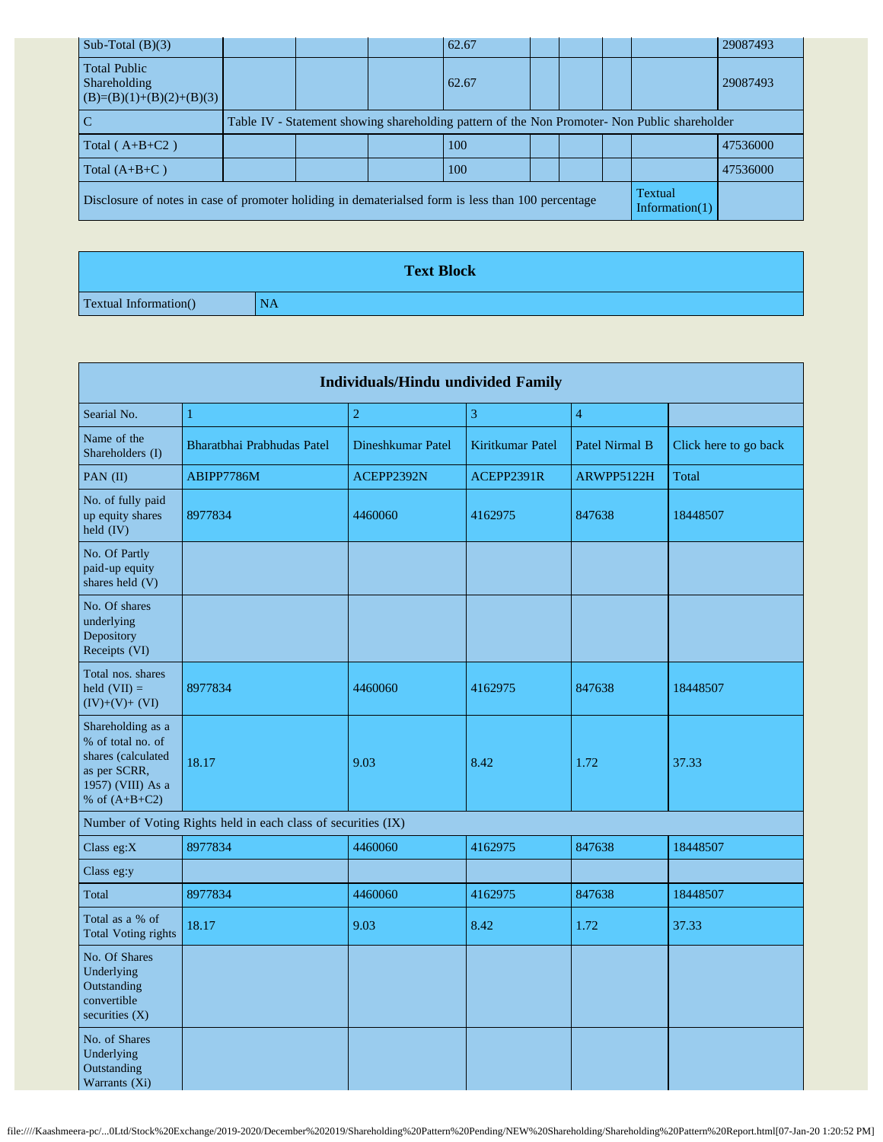| Sub-Total $(B)(3)$                                                                                 |  | 62.67                                                                                         |  |                                     | 29087493 |
|----------------------------------------------------------------------------------------------------|--|-----------------------------------------------------------------------------------------------|--|-------------------------------------|----------|
| <b>Total Public</b><br>Shareholding<br>$(B)=(B)(1)+(B)(2)+(B)(3)$                                  |  | 62.67                                                                                         |  |                                     | 29087493 |
| $\mathbf C$                                                                                        |  | Table IV - Statement showing shareholding pattern of the Non Promoter- Non Public shareholder |  |                                     |          |
| Total $(A+B+C2)$                                                                                   |  | 100                                                                                           |  |                                     | 47536000 |
| Total $(A+B+C)$                                                                                    |  | 100                                                                                           |  |                                     | 47536000 |
| Disclosure of notes in case of promoter holiding in dematerialsed form is less than 100 percentage |  |                                                                                               |  | <b>Textual</b><br>Information $(1)$ |          |
|                                                                                                    |  |                                                                                               |  |                                     |          |

|                               | <b>Text Block</b> |
|-------------------------------|-------------------|
| <b>Textual Information</b> () | NA                |

| <b>Individuals/Hindu undivided Family</b>                                                                            |                                                               |                   |                  |                       |                       |  |  |  |  |  |  |  |
|----------------------------------------------------------------------------------------------------------------------|---------------------------------------------------------------|-------------------|------------------|-----------------------|-----------------------|--|--|--|--|--|--|--|
| Searial No.                                                                                                          | $\mathbf{1}$                                                  | $\overline{2}$    | 3                | $\overline{4}$        |                       |  |  |  |  |  |  |  |
| Name of the<br>Shareholders (I)                                                                                      | Bharatbhai Prabhudas Patel                                    | Dineshkumar Patel | Kiritkumar Patel | <b>Patel Nirmal B</b> | Click here to go back |  |  |  |  |  |  |  |
| PAN (II)                                                                                                             | ABIPP7786M                                                    | ACEPP2392N        | ACEPP2391R       | ARWPP5122H            | Total                 |  |  |  |  |  |  |  |
| No. of fully paid<br>up equity shares<br>$\text{held (IV)}$                                                          | 8977834                                                       | 4460060           | 4162975          | 847638                | 18448507              |  |  |  |  |  |  |  |
| No. Of Partly<br>paid-up equity<br>shares held (V)                                                                   |                                                               |                   |                  |                       |                       |  |  |  |  |  |  |  |
| No. Of shares<br>underlying<br>Depository<br>Receipts (VI)                                                           |                                                               |                   |                  |                       |                       |  |  |  |  |  |  |  |
| Total nos. shares<br>held $(VII) =$<br>$(IV)+(V)+(VI)$                                                               | 8977834                                                       | 4460060           | 4162975          | 847638                | 18448507              |  |  |  |  |  |  |  |
| Shareholding as a<br>% of total no. of<br>shares (calculated<br>as per SCRR,<br>1957) (VIII) As a<br>% of $(A+B+C2)$ | 18.17                                                         | 9.03              | 8.42             | 1.72                  | 37.33                 |  |  |  |  |  |  |  |
|                                                                                                                      | Number of Voting Rights held in each class of securities (IX) |                   |                  |                       |                       |  |  |  |  |  |  |  |
| Class eg:X                                                                                                           | 8977834                                                       | 4460060           | 4162975          | 847638                | 18448507              |  |  |  |  |  |  |  |
| Class eg:y                                                                                                           |                                                               |                   |                  |                       |                       |  |  |  |  |  |  |  |
| Total                                                                                                                | 8977834                                                       | 4460060           | 4162975          | 847638                | 18448507              |  |  |  |  |  |  |  |
| Total as a % of<br><b>Total Voting rights</b>                                                                        | 18.17                                                         | 9.03              | 8.42             | 1.72                  | 37.33                 |  |  |  |  |  |  |  |
| No. Of Shares<br>Underlying<br>Outstanding<br>convertible<br>securities $(X)$                                        |                                                               |                   |                  |                       |                       |  |  |  |  |  |  |  |
| No. of Shares<br>Underlying<br>Outstanding<br>Warrants (Xi)                                                          |                                                               |                   |                  |                       |                       |  |  |  |  |  |  |  |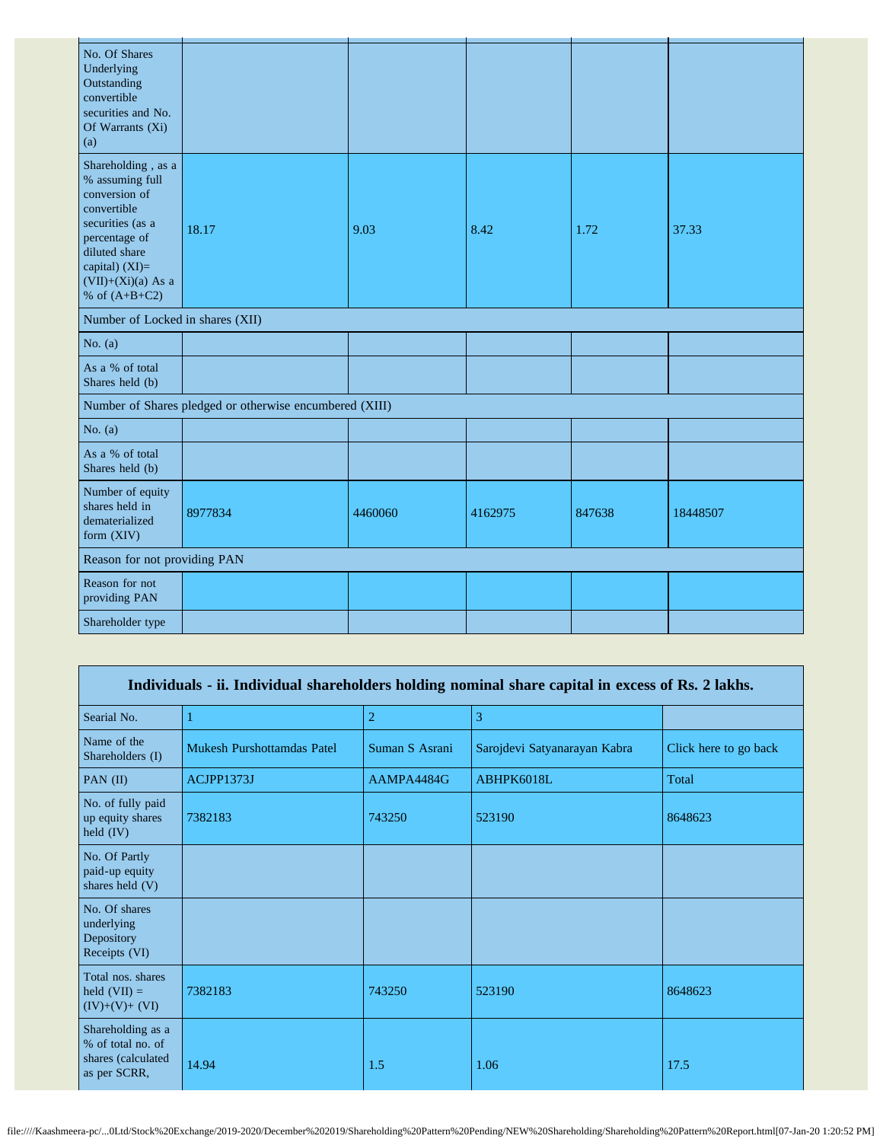| No. Of Shares<br>Underlying<br>Outstanding<br>convertible<br>securities and No.<br>Of Warrants (Xi)<br>(a)                                                                               |                                                         |         |         |        |          |
|------------------------------------------------------------------------------------------------------------------------------------------------------------------------------------------|---------------------------------------------------------|---------|---------|--------|----------|
| Shareholding, as a<br>% assuming full<br>conversion of<br>convertible<br>securities (as a<br>percentage of<br>diluted share<br>capital) (XI)=<br>$(VII)+(Xi)(a)$ As a<br>% of $(A+B+C2)$ | 18.17                                                   | 9.03    | 8.42    | 1.72   | 37.33    |
| Number of Locked in shares (XII)                                                                                                                                                         |                                                         |         |         |        |          |
| No. $(a)$                                                                                                                                                                                |                                                         |         |         |        |          |
| As a % of total<br>Shares held (b)                                                                                                                                                       |                                                         |         |         |        |          |
|                                                                                                                                                                                          | Number of Shares pledged or otherwise encumbered (XIII) |         |         |        |          |
| No. $(a)$                                                                                                                                                                                |                                                         |         |         |        |          |
| As a % of total<br>Shares held (b)                                                                                                                                                       |                                                         |         |         |        |          |
| Number of equity<br>shares held in<br>dematerialized<br>form (XIV)                                                                                                                       | 8977834                                                 | 4460060 | 4162975 | 847638 | 18448507 |
| Reason for not providing PAN                                                                                                                                                             |                                                         |         |         |        |          |
| Reason for not<br>providing PAN                                                                                                                                                          |                                                         |         |         |        |          |
| Shareholder type                                                                                                                                                                         |                                                         |         |         |        |          |

| Individuals - ii. Individual shareholders holding nominal share capital in excess of Rs. 2 lakhs. |                                   |                |                              |                       |  |  |
|---------------------------------------------------------------------------------------------------|-----------------------------------|----------------|------------------------------|-----------------------|--|--|
| Searial No.                                                                                       |                                   | $\overline{2}$ | 3                            |                       |  |  |
| Name of the<br>Shareholders (I)                                                                   | <b>Mukesh Purshottamdas Patel</b> | Suman S Asrani | Sarojdevi Satyanarayan Kabra | Click here to go back |  |  |
| PAN $(II)$                                                                                        | ACJPP1373J                        | AAMPA4484G     | ABHPK6018L                   | Total                 |  |  |
| No. of fully paid<br>up equity shares<br>held $(IV)$                                              | 7382183                           | 743250         | 523190                       | 8648623               |  |  |
| No. Of Partly<br>paid-up equity<br>shares held (V)                                                |                                   |                |                              |                       |  |  |
| No. Of shares<br>underlying<br>Depository<br>Receipts (VI)                                        |                                   |                |                              |                       |  |  |
| Total nos. shares<br>held $(VII) =$<br>$(IV)+(V)+(VI)$                                            | 7382183                           | 743250         | 523190                       | 8648623               |  |  |
| Shareholding as a<br>% of total no. of<br>shares (calculated<br>as per SCRR,                      | 14.94                             | 1.5            | 1.06                         | 17.5                  |  |  |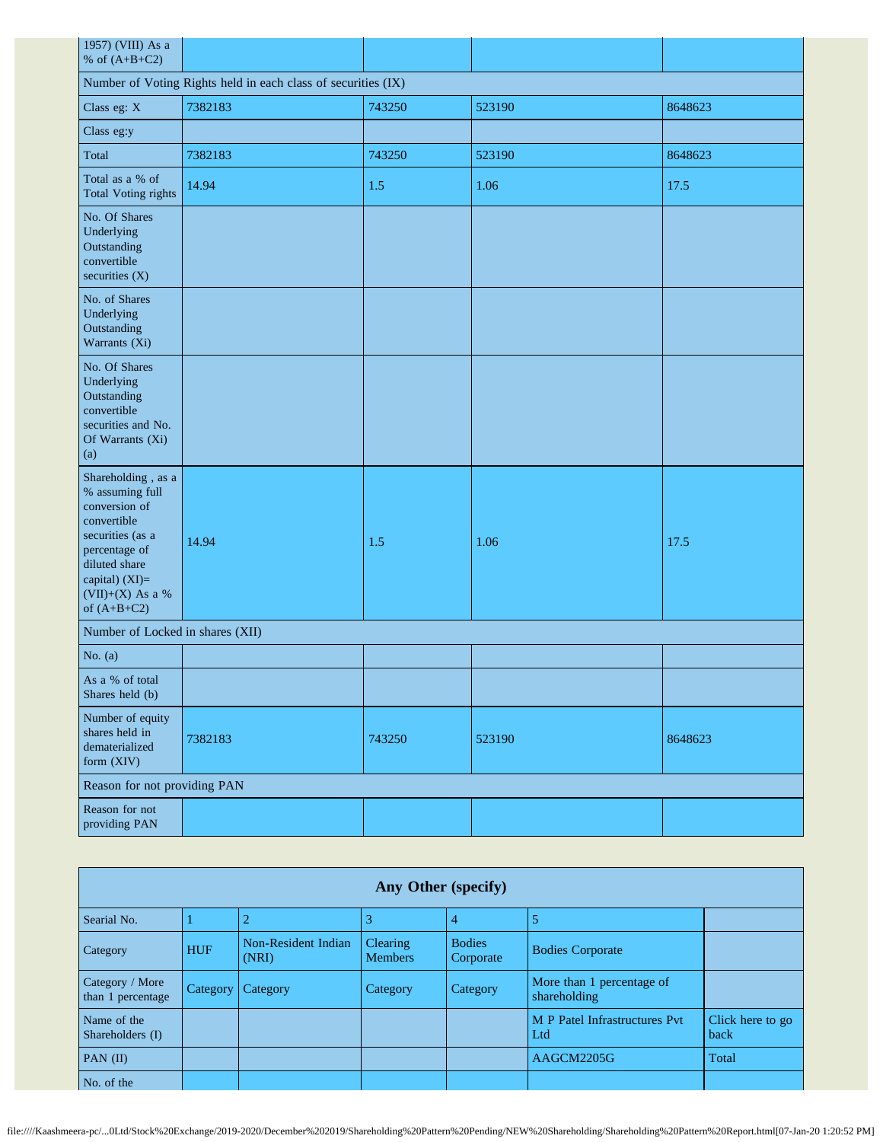| 1957) (VIII) As a<br>% of $(A+B+C2)$                                                                                                                                               |         |        |        |         |  |  |  |
|------------------------------------------------------------------------------------------------------------------------------------------------------------------------------------|---------|--------|--------|---------|--|--|--|
| Number of Voting Rights held in each class of securities (IX)                                                                                                                      |         |        |        |         |  |  |  |
| Class eg: X                                                                                                                                                                        | 7382183 | 743250 | 523190 | 8648623 |  |  |  |
| Class eg:y                                                                                                                                                                         |         |        |        |         |  |  |  |
| Total                                                                                                                                                                              | 7382183 | 743250 | 523190 | 8648623 |  |  |  |
| Total as a % of<br><b>Total Voting rights</b>                                                                                                                                      | 14.94   | 1.5    | 1.06   | 17.5    |  |  |  |
| No. Of Shares<br>Underlying<br>Outstanding<br>convertible<br>securities $(X)$                                                                                                      |         |        |        |         |  |  |  |
| No. of Shares<br>Underlying<br>Outstanding<br>Warrants (Xi)                                                                                                                        |         |        |        |         |  |  |  |
| No. Of Shares<br>Underlying<br>Outstanding<br>convertible<br>securities and No.<br>Of Warrants (Xi)<br>(a)                                                                         |         |        |        |         |  |  |  |
| Shareholding, as a<br>% assuming full<br>conversion of<br>convertible<br>securities (as a<br>percentage of<br>diluted share<br>capital) (XI)=<br>(VII)+(X) As a %<br>of $(A+B+C2)$ | 14.94   | 1.5    | 1.06   | 17.5    |  |  |  |
| Number of Locked in shares (XII)                                                                                                                                                   |         |        |        |         |  |  |  |
| No. $(a)$                                                                                                                                                                          |         |        |        |         |  |  |  |
| As a % of total<br>Shares held (b)                                                                                                                                                 |         |        |        |         |  |  |  |
| Number of equity<br>shares held in<br>dematerialized<br>form (XIV)                                                                                                                 | 7382183 | 743250 | 523190 | 8648623 |  |  |  |
| Reason for not providing PAN                                                                                                                                                       |         |        |        |         |  |  |  |
| Reason for not<br>providing PAN                                                                                                                                                    |         |        |        |         |  |  |  |

| Any Other (specify)                  |            |                              |                                   |                            |                                           |                          |  |
|--------------------------------------|------------|------------------------------|-----------------------------------|----------------------------|-------------------------------------------|--------------------------|--|
| Searial No.                          |            |                              | 3                                 | 4                          |                                           |                          |  |
| Category                             | <b>HUF</b> | Non-Resident Indian<br>(NRI) | <b>Clearing</b><br><b>Members</b> | <b>Bodies</b><br>Corporate | <b>Bodies Corporate</b>                   |                          |  |
| Category / More<br>than 1 percentage | Category   | Category                     | Category                          | Category                   | More than 1 percentage of<br>shareholding |                          |  |
| Name of the<br>Shareholders (I)      |            |                              |                                   |                            | M P Patel Infrastructures Pvt<br>Ltd      | Click here to go<br>back |  |
| PAN $(II)$                           |            |                              |                                   |                            | AAGCM2205G                                | Total                    |  |
| No. of the                           |            |                              |                                   |                            |                                           |                          |  |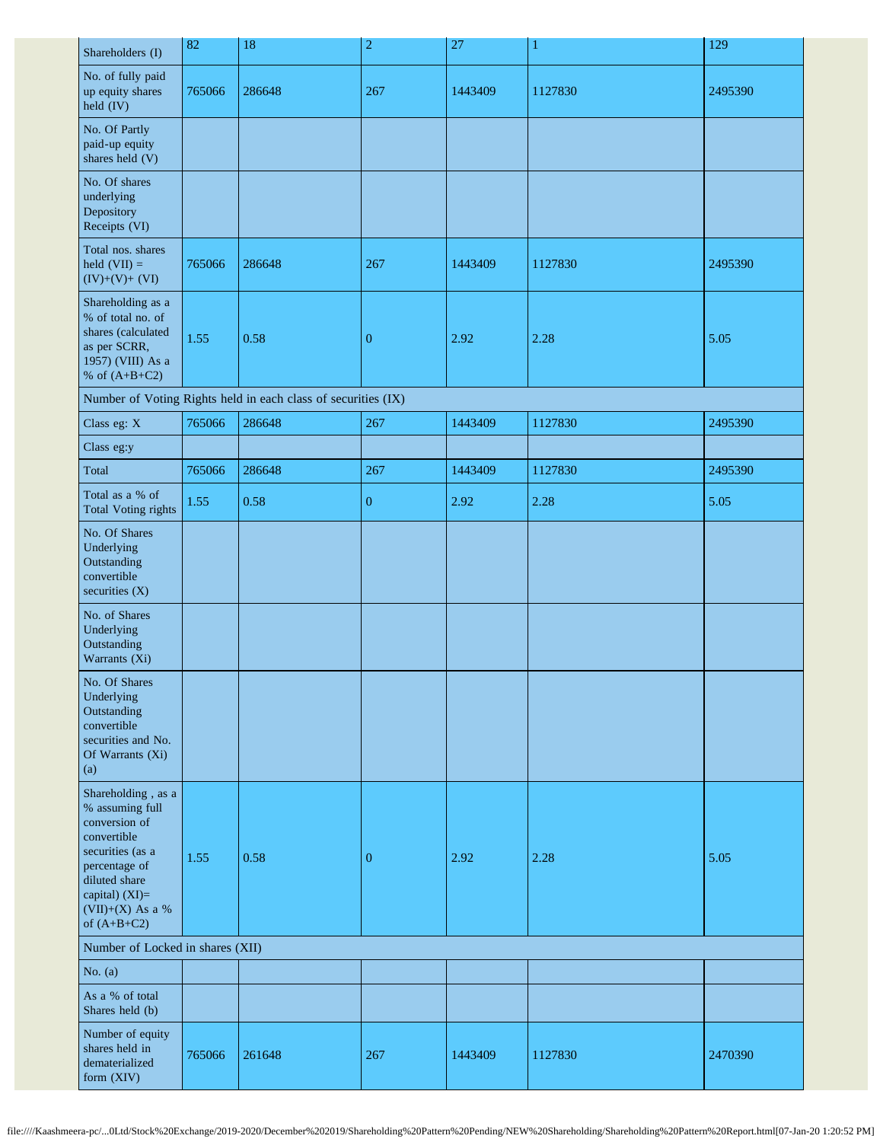| Shareholders (I)                                                                                                                                                                     | 82     | $18\,$                                                        | $\overline{c}$   | 27      | $\mathbf 1$ | 129     |  |
|--------------------------------------------------------------------------------------------------------------------------------------------------------------------------------------|--------|---------------------------------------------------------------|------------------|---------|-------------|---------|--|
| No. of fully paid<br>up equity shares<br>held (IV)                                                                                                                                   | 765066 | 286648                                                        | 267              | 1443409 | 1127830     | 2495390 |  |
| No. Of Partly<br>paid-up equity<br>shares held (V)                                                                                                                                   |        |                                                               |                  |         |             |         |  |
| No. Of shares<br>underlying<br>Depository<br>Receipts (VI)                                                                                                                           |        |                                                               |                  |         |             |         |  |
| Total nos. shares<br>held $(VII) =$<br>$(IV)+(V)+(VI)$                                                                                                                               | 765066 | 286648                                                        | 267              | 1443409 | 1127830     | 2495390 |  |
| Shareholding as a<br>% of total no. of<br>shares (calculated<br>as per SCRR,<br>1957) (VIII) As a<br>% of $(A+B+C2)$                                                                 | 1.55   | 0.58                                                          | $\boldsymbol{0}$ | 2.92    | 2.28        | 5.05    |  |
|                                                                                                                                                                                      |        | Number of Voting Rights held in each class of securities (IX) |                  |         |             |         |  |
| Class eg: X                                                                                                                                                                          | 765066 | 286648                                                        | 267              | 1443409 | 1127830     | 2495390 |  |
| Class eg:y                                                                                                                                                                           |        |                                                               |                  |         |             |         |  |
| Total                                                                                                                                                                                | 765066 | 286648                                                        | 267              | 1443409 | 1127830     | 2495390 |  |
| Total as a % of<br><b>Total Voting rights</b>                                                                                                                                        | 1.55   | 0.58                                                          | $\boldsymbol{0}$ | 2.92    | 2.28        | 5.05    |  |
| No. Of Shares<br>Underlying<br>Outstanding<br>convertible<br>securities (X)                                                                                                          |        |                                                               |                  |         |             |         |  |
| No. of Shares<br>Underlying<br>Outstanding<br>Warrants (Xi)                                                                                                                          |        |                                                               |                  |         |             |         |  |
| No. Of Shares<br>Underlying<br>Outstanding<br>convertible<br>securities and No.<br>Of Warrants (Xi)<br>(a)                                                                           |        |                                                               |                  |         |             |         |  |
| Shareholding, as a<br>% assuming full<br>conversion of<br>convertible<br>securities (as a<br>percentage of<br>diluted share<br>capital) (XI)=<br>$(VII)+(X)$ As a %<br>of $(A+B+C2)$ | 1.55   | 0.58                                                          | $\boldsymbol{0}$ | 2.92    | 2.28        | 5.05    |  |
| Number of Locked in shares (XII)                                                                                                                                                     |        |                                                               |                  |         |             |         |  |
| No. $(a)$                                                                                                                                                                            |        |                                                               |                  |         |             |         |  |
| As a % of total<br>Shares held (b)                                                                                                                                                   |        |                                                               |                  |         |             |         |  |
| Number of equity<br>shares held in<br>dematerialized<br>form (XIV)                                                                                                                   | 765066 | 261648                                                        | 267              | 1443409 | 1127830     | 2470390 |  |